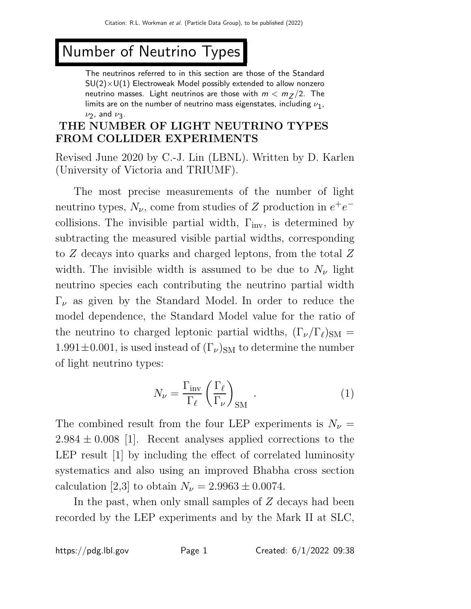# Number of Neutrino Types

The neutrinos referred to in this section are those of the Standard  $SU(2)\times U(1)$  Electroweak Model possibly extended to allow nonzero neutrino masses. Light neutrinos are those with  $m < m_Z / 2$ . The limits are on the number of neutrino mass eigenstates, including  $\nu_{\bf 1}$ ,  $\nu_2$ , and  $\nu_3$ .

# THE NUMBER OF LIGHT NEUTRINO TYPES FROM COLLIDER EXPERIMENTS

Revised June 2020 by C.-J. Lin (LBNL). Written by D. Karlen (University of Victoria and TRIUMF).

The most precise measurements of the number of light neutrino types,  $N_{\nu}$ , come from studies of Z production in  $e^+e^$ collisions. The invisible partial width,  $\Gamma_{\text{inv}}$ , is determined by subtracting the measured visible partial widths, corresponding to Z decays into quarks and charged leptons, from the total Z width. The invisible width is assumed to be due to  $N_{\nu}$  light neutrino species each contributing the neutrino partial width  $\Gamma_{\nu}$  as given by the Standard Model. In order to reduce the model dependence, the Standard Model value for the ratio of the neutrino to charged leptonic partial widths,  $(\Gamma_{\nu}/\Gamma_{\ell})_{\rm SM} =$  $1.991 \pm 0.001$ , is used instead of  $(\Gamma_{\nu})_{\rm SM}$  to determine the number of light neutrino types:

$$
N_{\nu} = \frac{\Gamma_{\text{inv}}}{\Gamma_{\ell}} \left(\frac{\Gamma_{\ell}}{\Gamma_{\nu}}\right)_{\text{SM}}.
$$
 (1)

The combined result from the four LEP experiments is  $N_{\nu} =$  $2.984 \pm 0.008$  [1]. Recent analyses applied corrections to the LEP result [1] by including the effect of correlated luminosity systematics and also using an improved Bhabha cross section calculation [2,3] to obtain  $N_{\nu} = 2.9963 \pm 0.0074$ .

In the past, when only small samples of  $Z$  decays had been recorded by the LEP experiments and by the Mark II at SLC,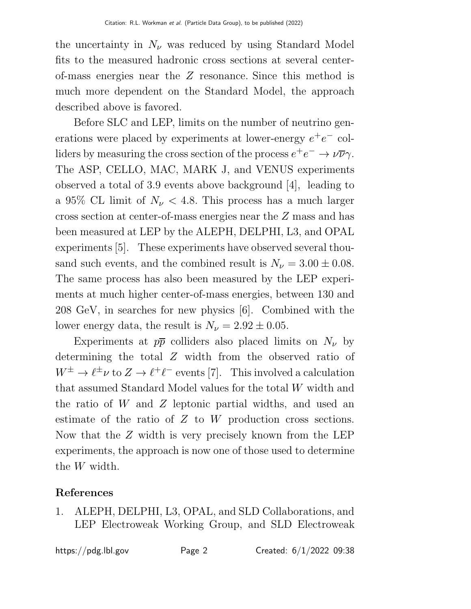the uncertainty in  $N_{\nu}$  was reduced by using Standard Model fits to the measured hadronic cross sections at several centerof-mass energies near the Z resonance. Since this method is much more dependent on the Standard Model, the approach described above is favored.

Before SLC and LEP, limits on the number of neutrino generations were placed by experiments at lower-energy  $e^+e^-$  colliders by measuring the cross section of the process  $e^+e^- \to \nu \overline{\nu} \gamma$ . The ASP, CELLO, MAC, MARK J, and VENUS experiments observed a total of 3.9 events above background [4], leading to a 95% CL limit of  $N_{\nu}$  < 4.8. This process has a much larger cross section at center-of-mass energies near the Z mass and has been measured at LEP by the ALEPH, DELPHI, L3, and OPAL experiments [5]. These experiments have observed several thousand such events, and the combined result is  $N_{\nu} = 3.00 \pm 0.08$ . The same process has also been measured by the LEP experiments at much higher center-of-mass energies, between 130 and 208 GeV, in searches for new physics [6]. Combined with the lower energy data, the result is  $N_{\nu} = 2.92 \pm 0.05$ .

Experiments at  $p\bar{p}$  colliders also placed limits on  $N_{\nu}$  by determining the total Z width from the observed ratio of  $W^{\pm} \to \ell^{\pm} \nu$  to  $Z \to \ell^{\pm} \ell^{-}$  events [7]. This involved a calculation that assumed Standard Model values for the total W width and the ratio of W and Z leptonic partial widths, and used an estimate of the ratio of Z to W production cross sections. Now that the Z width is very precisely known from the LEP experiments, the approach is now one of those used to determine the W width.

## References

1. ALEPH, DELPHI, L3, OPAL, and SLD Collaborations, and LEP Electroweak Working Group, and SLD Electroweak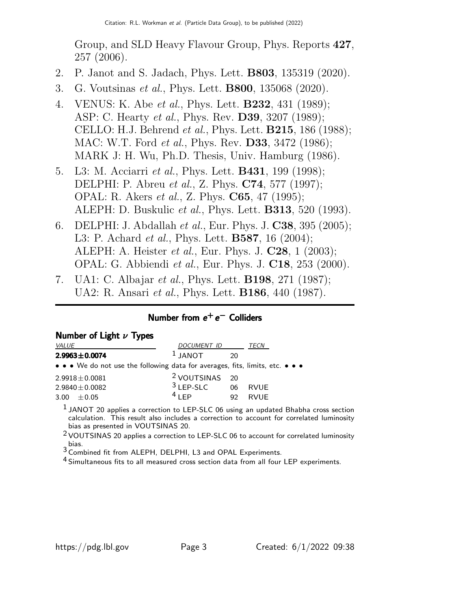Group, and SLD Heavy Flavour Group, Phys. Reports 427, 257 (2006).

- 2. P. Janot and S. Jadach, Phys. Lett. B803, 135319 (2020).
- 3. G. Voutsinas et al., Phys. Lett. B800, 135068 (2020).
- 4. VENUS: K. Abe et al., Phys. Lett. **B232**, 431 (1989); ASP: C. Hearty *et al.*, Phys. Rev. **D39**, 3207 (1989); CELLO: H.J. Behrend et al., Phys. Lett. B215, 186 (1988); MAC: W.T. Ford *et al.*, Phys. Rev. **D33**, 3472 (1986); MARK J: H. Wu, Ph.D. Thesis, Univ. Hamburg (1986).
- 5. L3: M. Acciarri *et al.*, Phys. Lett. **B431**, 199 (1998); DELPHI: P. Abreu et al., Z. Phys. C74, 577 (1997); OPAL: R. Akers et al., Z. Phys. C65, 47 (1995); ALEPH: D. Buskulic et al., Phys. Lett. B313, 520 (1993).
- 6. DELPHI: J. Abdallah et al., Eur. Phys. J. C38, 395 (2005); L3: P. Achard *et al.*, Phys. Lett. **B587**, 16 (2004); ALEPH: A. Heister et al., Eur. Phys. J. C28, 1 (2003); OPAL: G. Abbiendi et al., Eur. Phys. J. C18, 253 (2000).
- 7. UA1: C. Albajar et al., Phys. Lett. B198, 271 (1987); UA2: R. Ansari et al., Phys. Lett. B186, 440 (1987).

## Number from e<sup>+</sup>e<sup>-</sup> Colliders

|  |  | Number of Light $\nu$ Types |  |  |
|--|--|-----------------------------|--|--|
|--|--|-----------------------------|--|--|

| VALUE                                                                         | DOCUMENT ID               |                | TECN        |
|-------------------------------------------------------------------------------|---------------------------|----------------|-------------|
| $2.9963 \pm 0.0074$                                                           | $1$ JANOT                 | 20             |             |
| • • • We do not use the following data for averages, fits, limits, etc. • • • |                           |                |             |
| $2.9918 \pm 0.0081$                                                           | <sup>2</sup> VOUTSINAS 20 |                |             |
| $2.9840 \pm 0.0082$                                                           | $3$ LEP-SLC               | 06             | <b>RVUE</b> |
| $+0.05$<br>3.00                                                               | $4$ I FP                  | Q <sub>2</sub> | <b>RVUF</b> |

 $1$  JANOT 20 applies a correction to LEP-SLC 06 using an updated Bhabha cross section calculation. This result also includes a correction to account for correlated luminosity bias as presented in VOUTSINAS 20.

<sup>2</sup> VOUTSINAS 20 applies a correction to LEP-SLC 06 to account for correlated luminosity bias.

3 Combined fit from ALEPH, DELPHI, L3 and OPAL Experiments.

<sup>4</sup> Simultaneous fits to all measured cross section data from all four LEP experiments.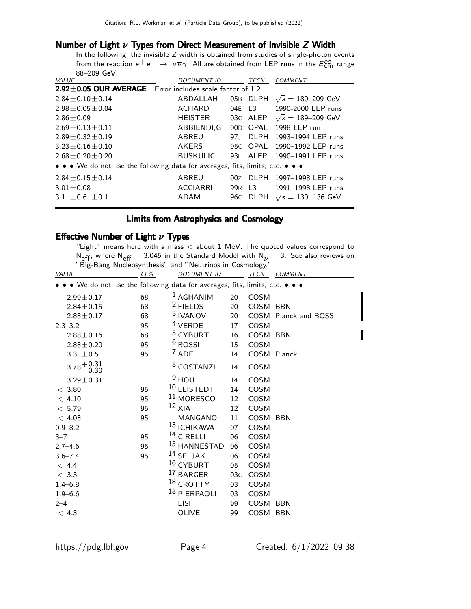#### Number of Light  $\nu$  Types from Direct Measurement of Invisible Z Width

In the following, the invisible  $Z$  width is obtained from studies of single-photon events from the reaction  $e^+e^- \rightarrow \nu \overline{\nu} \gamma$ . All are obtained from LEP runs in the  $E_{\text{CR}}^{\text{enc}}$  range 88–209 GeV.

| <b>VALUE</b>                                                                  | <b>DOCUMENT ID</b> |        | <b>TECN</b> | <b>COMMENT</b>                      |  |  |
|-------------------------------------------------------------------------------|--------------------|--------|-------------|-------------------------------------|--|--|
| 2.92±0.05 OUR AVERAGE Error includes scale factor of 1.2.                     |                    |        |             |                                     |  |  |
| $2.84 + 0.10 + 0.14$                                                          | ABDALLAH           |        | 05B DLPH    | $\sqrt{s} = 180 - 209$ GeV          |  |  |
| $2.98 \pm 0.05 \pm 0.04$                                                      | <b>ACHARD</b>      |        | 04E L3      | 1990-2000 LEP runs                  |  |  |
| $2.86 + 0.09$                                                                 | <b>HEISTER</b>     |        |             | 03C ALEP $\sqrt{s} = 189 - 209$ GeV |  |  |
| $2.69 + 0.13 + 0.11$                                                          | ABBIENDI,G         |        | 00D OPAL    | 1998 LEP run                        |  |  |
| $2.89 + 0.32 + 0.19$                                                          | ABREU              | 971    | <b>DLPH</b> | 1993-1994 LEP runs                  |  |  |
| $3.23 + 0.16 + 0.10$                                                          | <b>AKERS</b>       |        | 95C OPAL    | 1990-1992 LEP runs                  |  |  |
| $2.68 + 0.20 + 0.20$                                                          | <b>BUSKULIC</b>    | 931    | AI FP       | 1990-1991 LEP runs                  |  |  |
| • • • We do not use the following data for averages, fits, limits, etc. • • • |                    |        |             |                                     |  |  |
| $2.84 \pm 0.15 \pm 0.14$                                                      | ABREU              |        | 00Z DLPH    | 1997-1998 LEP runs                  |  |  |
| $3.01 \pm 0.08$                                                               | <b>ACCIARRI</b>    | 99R L3 |             | 1991-1998 LEP runs                  |  |  |
| $3.1 + 0.6 + 0.1$                                                             | ADAM               |        | 96C DLPH    | $\sqrt{s} = 130, 136$ GeV           |  |  |

### Limits from Astrophysics and Cosmology

#### Effective Number of Light  $\nu$  Types

"Light" means here with a mass < about 1 MeV. The quoted values correspond to N<sub>eff</sub>, where N<sub>eff</sub> = 3.045 in the Standard Model with N<sub>V</sub> = 3. See also reviews on "Big-Bang Nucleosynthesis" and "Neutrinos in Cosmology."

| <b>VALUE</b>                                                                  | $CL\%$ | <b>DOCUMENT ID</b>      |     |             | TECN COMMENT         |
|-------------------------------------------------------------------------------|--------|-------------------------|-----|-------------|----------------------|
| • • • We do not use the following data for averages, fits, limits, etc. • • • |        |                         |     |             |                      |
| $2.99 \pm 0.17$                                                               | 68     | $1$ AGHANIM             | 20  | COSM        |                      |
| $2.84 \pm 0.15$                                                               | 68     | $2$ FIELDS              | 20  | COSM BBN    |                      |
| $2.88 \pm 0.17$                                                               | 68     | $3$ IVANOV              | 20  |             | COSM Planck and BOSS |
| $2.3 - 3.2$                                                                   | 95     | $4$ VERDE               | 17  | COSM        |                      |
| $2.88 \pm 0.16$                                                               | 68     | <sup>5</sup> CYBURT     | 16  | COSM BBN    |                      |
| $2.88 \pm 0.20$                                                               | 95     | <sup>6</sup> ROSSI      | 15  | COSM        |                      |
| 3.3 $\pm 0.5$                                                                 | 95     | $7$ ADE                 | 14  |             | COSM Planck          |
| $3.78 + 0.31$<br>-0.30                                                        |        | <sup>8</sup> COSTANZI   | 14  | COSM        |                      |
| $3.29 \pm 0.31$                                                               |        | $9$ HOU                 | 14  | COSM        |                      |
| < 3.80                                                                        | 95     | 10 LEISTEDT             | 14  | COSM        |                      |
| < 4.10                                                                        | 95     | <sup>11</sup> MORESCO   | 12  | COSM        |                      |
| < 5.79                                                                        | 95     | $12$ XIA                | 12  | <b>COSM</b> |                      |
| < 4.08                                                                        | 95     | MANGANO                 | 11  | COSM BBN    |                      |
| $0.9 - 8.2$                                                                   |        | <sup>13</sup> ICHIKAWA  | 07  | COSM        |                      |
| $3 - 7$                                                                       | 95     | $14$ CIRELLI            | 06  | COSM        |                      |
| $2.7 - 4.6$                                                                   | 95     | <sup>15</sup> HANNESTAD | 06  | COSM        |                      |
| $3.6 - 7.4$                                                                   | 95     | $14$ SELJAK             | 06  | COSM        |                      |
| < 4.4                                                                         |        | 16 CYBURT               | 05  | COSM        |                      |
| < 3.3                                                                         |        | <sup>17</sup> BARGER    | 03C | COSM        |                      |
| $1.4 - 6.8$                                                                   |        | <sup>18</sup> CROTTY    | 03  | COSM        |                      |
| $1.9 - 6.6$                                                                   |        | 18 PIERPAOLI            | 03  | COSM        |                      |
| $2 - 4$                                                                       |        | <b>LISI</b>             | 99  | COSM BBN    |                      |
| < 4.3                                                                         |        | <b>OLIVE</b>            | 99  | COSM BBN    |                      |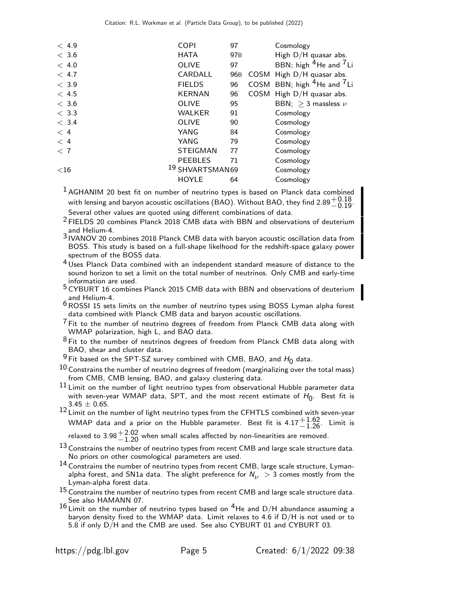| < 4.9   | <b>COPI</b>                | 97              |      | Cosmology                              |
|---------|----------------------------|-----------------|------|----------------------------------------|
| $<$ 3.6 | <b>HATA</b>                | 97 <sub>B</sub> |      | High D/H quasar abs.                   |
| < 4.0   | <b>OLIVE</b>               | 97              |      | BBN; high $^{4}$ He and $^{7}$ Li      |
| < 4.7   | CARDALL                    | 96B             | COSM | High D/H quasar abs.                   |
| < 3.9   | <b>FIELDS</b>              | 96              |      | COSM BBN; high <sup>4</sup> He and 'Li |
| < 4.5   | <b>KERNAN</b>              | 96              |      | COSM High D/H quasar abs.              |
| $<$ 3.6 | <b>OLIVE</b>               | 95              |      | BBN; $>$ 3 massless $\nu$              |
| < 3.3   | <b>WALKER</b>              | 91              |      | Cosmology                              |
| < 3.4   | <b>OLIVE</b>               | 90              |      | Cosmology                              |
| $<$ 4   | YANG                       | 84              |      | Cosmology                              |
| $<$ 4   | YANG                       | 79              |      | Cosmology                              |
| < 7     | <b>STEIGMAN</b>            | 77              |      | Cosmology                              |
|         | <b>PEEBLES</b>             | 71              |      | Cosmology                              |
| $<$ 16  | <sup>19</sup> SHVARTSMAN69 |                 |      | Cosmology                              |
|         | <b>HOYLE</b>               | 64              |      | Cosmology                              |
|         |                            |                 |      |                                        |

 $<sup>1</sup>$  AGHANIM 20 best fit on number of neutrino types is based on Planck data combined</sup> with lensing and baryon acoustic oscillations (BAO). Without BAO, they find  $2.89^{+0.18}_{-0.19}$ . Several other values are quoted using different combinations of data.

2 FIELDS 20 combines Planck 2018 CMB data with BBN and observations of deuterium

and Helium-4. 3 IVANOV 20 combines 2018 Planck CMB data with baryon acoustic oscillation data from BOSS. This study is based on a full-shape likelhood for the redshift-space galaxy power spectrum of the BOSS data.

<sup>4</sup> Uses Planck Data combined with an independent standard measure of distance to the sound horizon to set a limit on the total number of neutrinos. Only CMB and early-time information are used.

5 CYBURT 16 combines Planck 2015 CMB data with BBN and observations of deuterium and Helium-4.

6ROSSI 15 sets limits on the number of neutrino types using BOSS Lyman alpha forest data combined with Planck CMB data and baryon acoustic oscillations.

 $7$  Fit to the number of neutrino degrees of freedom from Planck CMB data along with WMAP polarization, high L, and BAO data.

 $8$  Fit to the number of neutrinos degrees of freedom from Planck CMB data along with BAO, shear and cluster data.

 $9$  Fit based on the SPT-SZ survey combined with CMB, BAO, and  $H_0$  data.

 $^{10}$  Constrains the number of neutrino degrees of freedom (marginalizing over the total mass) from CMB, CMB lensing, BAO, and galaxy clustering data.

 $^{11}$  Limit on the number of light neutrino types from observational Hubble parameter data with seven-year WMAP data, SPT, and the most recent estimate of  $H_0$ . Best fit is  $3.45 \pm 0.65$ .

12 Limit on the number of light neutrino types from the CFHTLS combined with seven-year WMAP data and a prior on the Hubble parameter. Best fit is  $4.17^{+1.62}_{-1.26}$ . Limit is

relaxed to  $3.98^{+2.02}_{-1.20}$  when small scales affected by non-linearities are removed.

 $13$  Constrains the number of neutrino types from recent CMB and large scale structure data. No priors on other cosmological parameters are used.

14 Constrains the number of neutrino types from recent CMB, large scale structure, Lymanalpha forest, and SN1a data. The slight preference for  $N_{\nu} > 3$  comes mostly from the Lyman-alpha forest data.

 $15$  Constrains the number of neutrino types from recent CMB and large scale structure data. See also HAMANN 07.

 $16$  Limit on the number of neutrino types based on <sup>4</sup>He and D/H abundance assuming a baryon density fixed to the WMAP data. Limit relaxes to 4.6 if D/H is not used or to 5.8 if only D/H and the CMB are used. See also CYBURT 01 and CYBURT 03.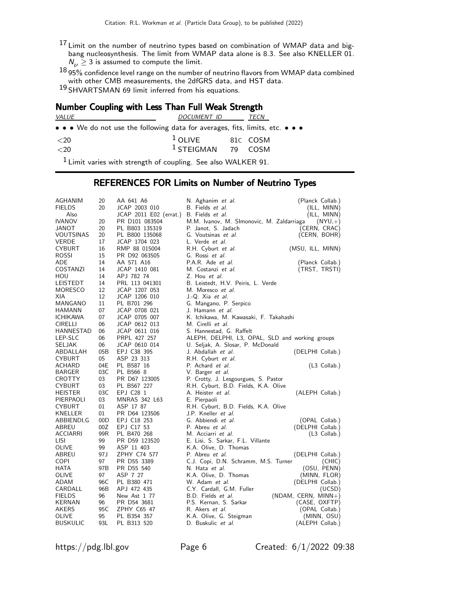$^{17}$  Limit on the number of neutrino types based on combination of WMAP data and bigbang nucleosynthesis. The limit from WMAP data alone is 8.3. See also KNELLER 01.  $N_{\nu} \geq 3$  is assumed to compute the limit.

 $^{18}$ 95% confidence level range on the number of neutrino flavors from WMAP data combined with other CMB measurements, the 2dfGRS data, and HST data.

19 SHVARTSMAN 69 limit inferred from his equations.

## Number Coupling with Less Than Full Weak Strength

| <i>VALUE</i>                                                                                                                                                                                                                                                                                                        | <i>DOCUMENT ID</i>          | <i>TECN</i> |
|---------------------------------------------------------------------------------------------------------------------------------------------------------------------------------------------------------------------------------------------------------------------------------------------------------------------|-----------------------------|-------------|
| $\bullet \bullet \bullet$ We do not use the following data for averages, fits, limits, etc. $\bullet \bullet \bullet$                                                                                                                                                                                               |                             |             |
| <20                                                                                                                                                                                                                                                                                                                 | <sup>1</sup> OLIVE 81C COSM |             |
| <20                                                                                                                                                                                                                                                                                                                 | $1$ STEIGMAN 79 COSM        |             |
| $\frac{1}{2}$ $\frac{1}{2}$ $\frac{1}{2}$ $\frac{1}{2}$ $\frac{1}{2}$ $\frac{1}{2}$ $\frac{1}{2}$ $\frac{1}{2}$ $\frac{1}{2}$ $\frac{1}{2}$ $\frac{1}{2}$ $\frac{1}{2}$ $\frac{1}{2}$ $\frac{1}{2}$ $\frac{1}{2}$ $\frac{1}{2}$ $\frac{1}{2}$ $\frac{1}{2}$ $\frac{1}{2}$ $\frac{1}{2}$ $\frac{1}{2}$ $\frac{1}{2}$ |                             |             |

<sup>1</sup> Limit varies with strength of coupling. See also WALKER 91.

#### REFERENCES FOR Limits on Number of Neutrino Types

| AGHANIM         | 20   | AA 641 A6              | N. Aghanim et al.                               | (Planck Collab.)      |
|-----------------|------|------------------------|-------------------------------------------------|-----------------------|
| <b>FIELDS</b>   | 20   | JCAP 2003 010          | B. Fields et al.                                | (ILL, MINN)           |
| Also            |      | JCAP 2011 E02 (errat.) | B. Fields et al.                                | (ILL, MINN)           |
| <b>IVANOV</b>   | 20   | PR D101 083504         | M.M. Ivanov, M. SImonovic, M. Zaldarriaga       | $(NYU,+)$             |
| JANOT           | 20   | PL B803 135319         | P. Janot, S. Jadach                             | (CERN, CRAC)          |
| VOUTSINAS       | 20   | PL B800 135068         | G. Voutsinas et al.                             | (CERN, BOHR)          |
| VERDE           | 17   | JCAP 1704 023          | L. Verde et al.                                 |                       |
| CYBURT          | 16   | RMP 88 015004          | R.H. Cyburt et al.                              | (MSU, ILL, MINN)      |
| ROSSI           | 15   | PR D92 063505          | G. Rossi et al.                                 |                       |
| ADE             | 14   | AA 571 A16             | P.A.R. Ade et al.                               | (Planck Collab.)      |
| COSTANZI        | 14   | JCAP 1410 081          | M. Costanzi <i>et al.</i>                       | (TRST, TRSTI)         |
| HOU             | 14   | APJ 782 74             | Z. Hou et al.                                   |                       |
| LEISTEDT        | 14   | PRL 113 041301         | B. Leistedt, H.V. Peiris, L. Verde              |                       |
| MORESCO         | 12   | JCAP 1207 053          | M. Moresco <i>et al.</i>                        |                       |
| XIA             | 12   | JCAP 1206 010          | J.-Q. Xia <i>et al.</i>                         |                       |
| MANGANO         | 11   | PL B701 296            | G. Mangano, P. Serpico                          |                       |
| HAMANN          | 07   | JCAP 0708 021          | J. Hamann <i>et al.</i>                         |                       |
| ICHIKAWA        | 07   | JCAP 0705 007          | K. Ichikawa, M. Kawasaki, F. Takahashi          |                       |
| CIRELLI         | 06   | JCAP 0612 013          | M. Cirelli <i>et al.</i>                        |                       |
| HANNESTAD       | 06   | JCAP 0611 016          | S. Hannestad, G. Raffelt                        |                       |
| LEP-SLC         | 06   | PRPL 427 257           | ALEPH, DELPHI, L3, OPAL, SLD and working groups |                       |
| SELJAK          | 06   | JCAP 0610 014          | U. Seljak, A. Slosar, P. McDonald               |                       |
| ABDALLAH        | 05B  | EPJ C38 395            | J. Abdallah et al.                              | (DELPHI Collab.)      |
| CYBURT          | 05   | ASP 23 313             | R.H. Cyburt et al.                              |                       |
| ACHARD          | 04E  | PL B587 16             | P. Achard et al.                                | $(L3$ Collab.)        |
| <b>BARGER</b>   | 03C  | PL B566 8              | V. Barger et al.                                |                       |
| CROTTY          | 03   | PR D67 123005          | P. Crotty, J. Lesgourgues, S. Pastor            |                       |
| <b>CYBURT</b>   | 03   | PL B567 227            | R.H. Cyburt, B.D. Fields, K.A. Olive            |                       |
| HEISTER         | 03C  | EPJ C28 1              | A. Heister <i>et al.</i>                        | (ALEPH Collab.)       |
| PIERPAOLI       | 03   | MNRAS 342 L63          | E. Pierpaoli                                    |                       |
| <b>CYBURT</b>   | 01   | ASP 17 87              | R.H. Cyburt, B.D. Fields, K.A. Olive            |                       |
| KNELLER         | 01   | PR D64 123506          | J.P. Kneller et al.                             |                       |
| ABBIENDI,G      | 00D  | EPJ C18 253            | G. Abbiendi et al.                              | (OPAL Collab.)        |
| ABREU           | 00Z  | EPJ C17 53             | P. Abreu et al.                                 | (DELPHI Collab.)      |
| ACCIARRI        | 99R  | PL B470 268            | M. Acciarri et al.                              | $(L3$ Collab.)        |
| LISI            | 99   | PR D59 123520          | E. Lisi, S. Sarkar, F.L. Villante               |                       |
| OLIVE           | 99   | ASP 11 403             | K.A. Olive, D. Thomas                           |                       |
| ABREU           | 97 J | ZPHY C74 577           | P. Abreu <i>et al.</i>                          | (DELPHI Collab.)      |
| COPI            | 97   | PR D55 3389            | C.J. Copi, D.N. Schramm, M.S. Turner            | (CHIC)                |
| HATA            | 97B  | PR D55 540             | N. Hata <i>et al.</i>                           | (OSU, PENN)           |
| OLIVE           | 97   | ASP 7 27               | K.A. Olive, D. Thomas                           | (MINN, FLOR)          |
| ADAM            | 96C  | PL B380 471            | W. Adam et al.                                  | (DELPHI Collab.)      |
| CARDALL         | 96B  | APJ 472 435            | C.Y. Cardall, G.M. Fuller                       | (UCSD)                |
| <b>FIELDS</b>   | 96   | New Ast 1 77           | B.D. Fields et al.                              | $(NDAM, CERN, MINN+)$ |
| KERNAN          | 96   | PR D54 3681            | P.S. Kernan, S. Sarkar                          | (CASE, OXFTP)         |
| AKERS           | 95C  | ZPHY C65 47            | R. Akers et al.                                 | (OPAL Collab.)        |
| OLIVE           | 95   | PL B354 357            | K.A. Olive, G. Steigman                         | (MINN, OSU)           |
| <b>BUSKULIC</b> | 93L  | PL B313 520            | D. Buskulic et al.                              | (ALEPH Collab.)       |
|                 |      |                        |                                                 |                       |